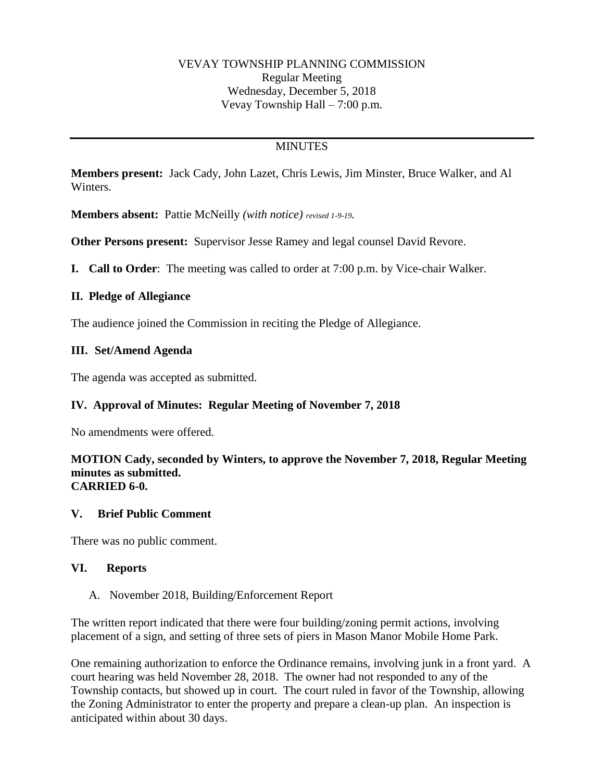## **MINUTES**

**Members present:** Jack Cady, John Lazet, Chris Lewis, Jim Minster, Bruce Walker, and Al Winters.

**Members absent:** Pattie McNeilly *(with notice) revised 1-9-19.*

**Other Persons present:** Supervisor Jesse Ramey and legal counsel David Revore.

**I. Call to Order**: The meeting was called to order at 7:00 p.m. by Vice-chair Walker.

### **II. Pledge of Allegiance**

The audience joined the Commission in reciting the Pledge of Allegiance.

### **III. Set/Amend Agenda**

The agenda was accepted as submitted.

### **IV. Approval of Minutes: Regular Meeting of November 7, 2018**

No amendments were offered.

#### **MOTION Cady, seconded by Winters, to approve the November 7, 2018, Regular Meeting minutes as submitted. CARRIED 6-0.**

### **V. Brief Public Comment**

There was no public comment.

### **VI. Reports**

### A. November 2018, Building/Enforcement Report

The written report indicated that there were four building/zoning permit actions, involving placement of a sign, and setting of three sets of piers in Mason Manor Mobile Home Park.

One remaining authorization to enforce the Ordinance remains, involving junk in a front yard. A court hearing was held November 28, 2018. The owner had not responded to any of the Township contacts, but showed up in court. The court ruled in favor of the Township, allowing the Zoning Administrator to enter the property and prepare a clean-up plan. An inspection is anticipated within about 30 days.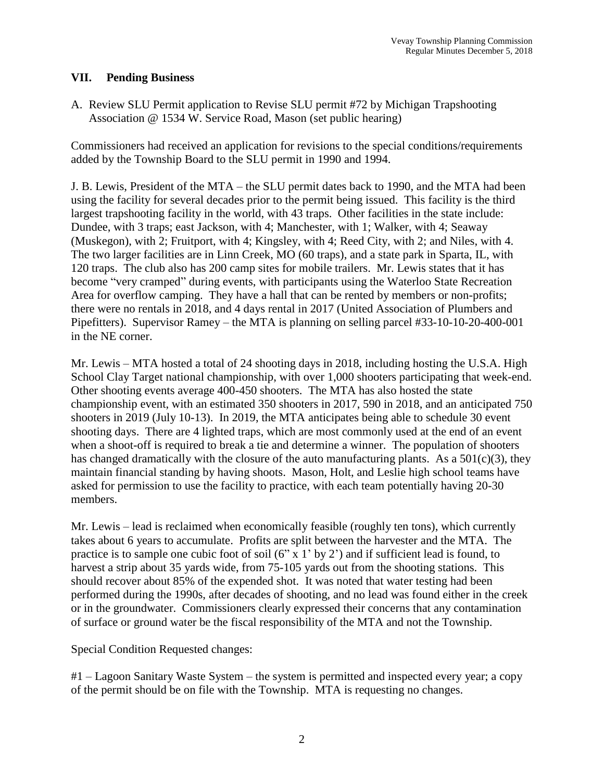## **VII. Pending Business**

A. Review SLU Permit application to Revise SLU permit #72 by Michigan Trapshooting Association @ 1534 W. Service Road, Mason (set public hearing)

Commissioners had received an application for revisions to the special conditions/requirements added by the Township Board to the SLU permit in 1990 and 1994.

J. B. Lewis, President of the MTA – the SLU permit dates back to 1990, and the MTA had been using the facility for several decades prior to the permit being issued. This facility is the third largest trapshooting facility in the world, with 43 traps. Other facilities in the state include: Dundee, with 3 traps; east Jackson, with 4; Manchester, with 1; Walker, with 4; Seaway (Muskegon), with 2; Fruitport, with 4; Kingsley, with 4; Reed City, with 2; and Niles, with 4. The two larger facilities are in Linn Creek, MO (60 traps), and a state park in Sparta, IL, with 120 traps. The club also has 200 camp sites for mobile trailers. Mr. Lewis states that it has become "very cramped" during events, with participants using the Waterloo State Recreation Area for overflow camping. They have a hall that can be rented by members or non-profits; there were no rentals in 2018, and 4 days rental in 2017 (United Association of Plumbers and Pipefitters). Supervisor Ramey – the MTA is planning on selling parcel #33-10-10-20-400-001 in the NE corner.

Mr. Lewis – MTA hosted a total of 24 shooting days in 2018, including hosting the U.S.A. High School Clay Target national championship, with over 1,000 shooters participating that week-end. Other shooting events average 400-450 shooters. The MTA has also hosted the state championship event, with an estimated 350 shooters in 2017, 590 in 2018, and an anticipated 750 shooters in 2019 (July 10-13). In 2019, the MTA anticipates being able to schedule 30 event shooting days. There are 4 lighted traps, which are most commonly used at the end of an event when a shoot-off is required to break a tie and determine a winner. The population of shooters has changed dramatically with the closure of the auto manufacturing plants. As a  $501(c)(3)$ , they maintain financial standing by having shoots. Mason, Holt, and Leslie high school teams have asked for permission to use the facility to practice, with each team potentially having 20-30 members.

Mr. Lewis – lead is reclaimed when economically feasible (roughly ten tons), which currently takes about 6 years to accumulate. Profits are split between the harvester and the MTA. The practice is to sample one cubic foot of soil  $(6" \times 1'$  by 2') and if sufficient lead is found, to harvest a strip about 35 yards wide, from 75-105 yards out from the shooting stations. This should recover about 85% of the expended shot. It was noted that water testing had been performed during the 1990s, after decades of shooting, and no lead was found either in the creek or in the groundwater. Commissioners clearly expressed their concerns that any contamination of surface or ground water be the fiscal responsibility of the MTA and not the Township.

Special Condition Requested changes:

#1 – Lagoon Sanitary Waste System – the system is permitted and inspected every year; a copy of the permit should be on file with the Township. MTA is requesting no changes.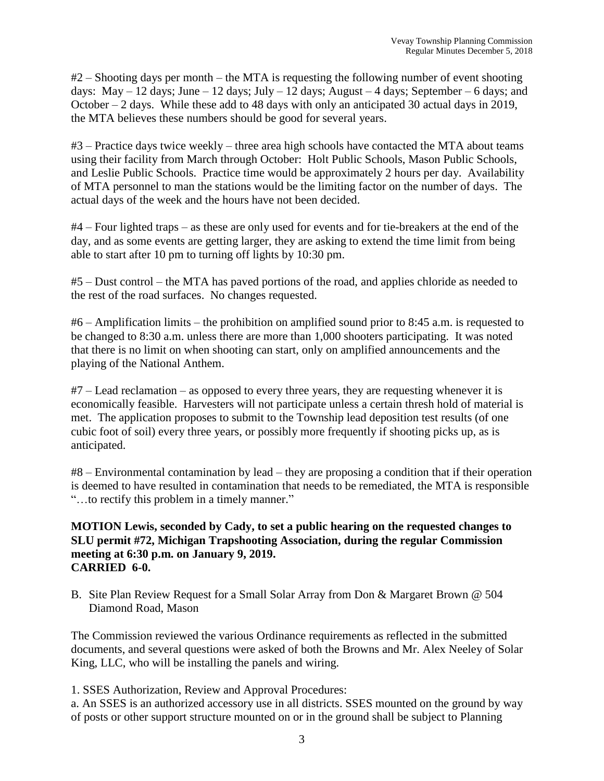#2 – Shooting days per month – the MTA is requesting the following number of event shooting days: May – 12 days; June – 12 days; July – 12 days; August – 4 days; September – 6 days; and October – 2 days. While these add to 48 days with only an anticipated 30 actual days in 2019, the MTA believes these numbers should be good for several years.

#3 – Practice days twice weekly – three area high schools have contacted the MTA about teams using their facility from March through October: Holt Public Schools, Mason Public Schools, and Leslie Public Schools. Practice time would be approximately 2 hours per day. Availability of MTA personnel to man the stations would be the limiting factor on the number of days. The actual days of the week and the hours have not been decided.

#4 – Four lighted traps – as these are only used for events and for tie-breakers at the end of the day, and as some events are getting larger, they are asking to extend the time limit from being able to start after 10 pm to turning off lights by 10:30 pm.

#5 – Dust control – the MTA has paved portions of the road, and applies chloride as needed to the rest of the road surfaces. No changes requested.

#6 – Amplification limits – the prohibition on amplified sound prior to 8:45 a.m. is requested to be changed to 8:30 a.m. unless there are more than 1,000 shooters participating. It was noted that there is no limit on when shooting can start, only on amplified announcements and the playing of the National Anthem.

#7 – Lead reclamation – as opposed to every three years, they are requesting whenever it is economically feasible. Harvesters will not participate unless a certain thresh hold of material is met. The application proposes to submit to the Township lead deposition test results (of one cubic foot of soil) every three years, or possibly more frequently if shooting picks up, as is anticipated.

#8 – Environmental contamination by lead – they are proposing a condition that if their operation is deemed to have resulted in contamination that needs to be remediated, the MTA is responsible "…to rectify this problem in a timely manner."

### **MOTION Lewis, seconded by Cady, to set a public hearing on the requested changes to SLU permit #72, Michigan Trapshooting Association, during the regular Commission meeting at 6:30 p.m. on January 9, 2019. CARRIED 6-0.**

B. Site Plan Review Request for a Small Solar Array from Don & Margaret Brown @ 504 Diamond Road, Mason

The Commission reviewed the various Ordinance requirements as reflected in the submitted documents, and several questions were asked of both the Browns and Mr. Alex Neeley of Solar King, LLC, who will be installing the panels and wiring.

1. SSES Authorization, Review and Approval Procedures:

a. An SSES is an authorized accessory use in all districts. SSES mounted on the ground by way of posts or other support structure mounted on or in the ground shall be subject to Planning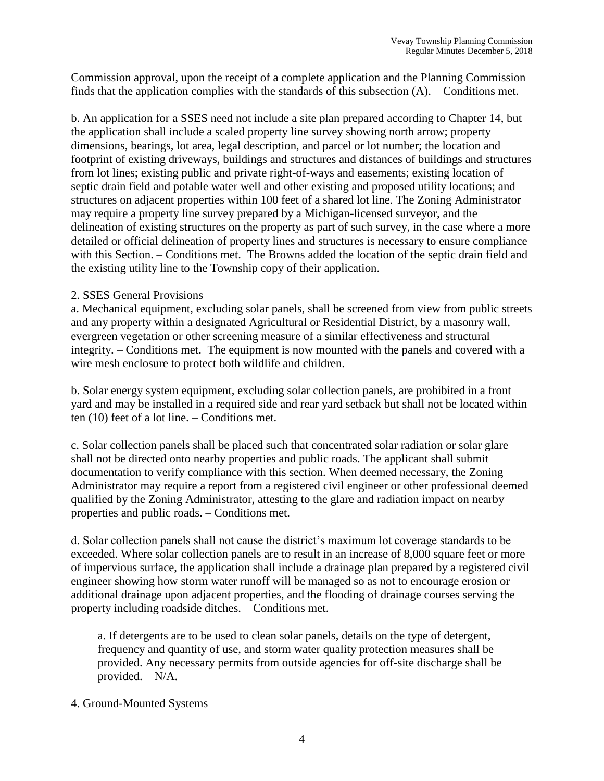Commission approval, upon the receipt of a complete application and the Planning Commission finds that the application complies with the standards of this subsection (A). – Conditions met.

b. An application for a SSES need not include a site plan prepared according to Chapter 14, but the application shall include a scaled property line survey showing north arrow; property dimensions, bearings, lot area, legal description, and parcel or lot number; the location and footprint of existing driveways, buildings and structures and distances of buildings and structures from lot lines; existing public and private right-of-ways and easements; existing location of septic drain field and potable water well and other existing and proposed utility locations; and structures on adjacent properties within 100 feet of a shared lot line. The Zoning Administrator may require a property line survey prepared by a Michigan-licensed surveyor, and the delineation of existing structures on the property as part of such survey, in the case where a more detailed or official delineation of property lines and structures is necessary to ensure compliance with this Section. – Conditions met. The Browns added the location of the septic drain field and the existing utility line to the Township copy of their application.

### 2. SSES General Provisions

a. Mechanical equipment, excluding solar panels, shall be screened from view from public streets and any property within a designated Agricultural or Residential District, by a masonry wall, evergreen vegetation or other screening measure of a similar effectiveness and structural integrity. – Conditions met. The equipment is now mounted with the panels and covered with a wire mesh enclosure to protect both wildlife and children.

b. Solar energy system equipment, excluding solar collection panels, are prohibited in a front yard and may be installed in a required side and rear yard setback but shall not be located within ten (10) feet of a lot line. – Conditions met.

c. Solar collection panels shall be placed such that concentrated solar radiation or solar glare shall not be directed onto nearby properties and public roads. The applicant shall submit documentation to verify compliance with this section. When deemed necessary, the Zoning Administrator may require a report from a registered civil engineer or other professional deemed qualified by the Zoning Administrator, attesting to the glare and radiation impact on nearby properties and public roads. – Conditions met.

d. Solar collection panels shall not cause the district's maximum lot coverage standards to be exceeded. Where solar collection panels are to result in an increase of 8,000 square feet or more of impervious surface, the application shall include a drainage plan prepared by a registered civil engineer showing how storm water runoff will be managed so as not to encourage erosion or additional drainage upon adjacent properties, and the flooding of drainage courses serving the property including roadside ditches. – Conditions met.

a. If detergents are to be used to clean solar panels, details on the type of detergent, frequency and quantity of use, and storm water quality protection measures shall be provided. Any necessary permits from outside agencies for off-site discharge shall be provided. – N/A.

### 4. Ground-Mounted Systems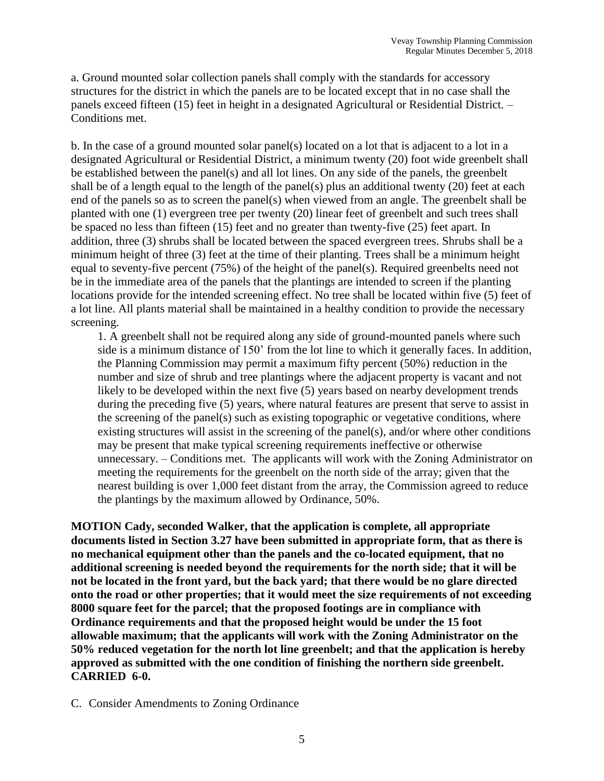a. Ground mounted solar collection panels shall comply with the standards for accessory structures for the district in which the panels are to be located except that in no case shall the panels exceed fifteen (15) feet in height in a designated Agricultural or Residential District. – Conditions met.

b. In the case of a ground mounted solar panel(s) located on a lot that is adjacent to a lot in a designated Agricultural or Residential District, a minimum twenty (20) foot wide greenbelt shall be established between the panel(s) and all lot lines. On any side of the panels, the greenbelt shall be of a length equal to the length of the panel(s) plus an additional twenty (20) feet at each end of the panels so as to screen the panel(s) when viewed from an angle. The greenbelt shall be planted with one (1) evergreen tree per twenty (20) linear feet of greenbelt and such trees shall be spaced no less than fifteen (15) feet and no greater than twenty-five (25) feet apart. In addition, three (3) shrubs shall be located between the spaced evergreen trees. Shrubs shall be a minimum height of three (3) feet at the time of their planting. Trees shall be a minimum height equal to seventy-five percent (75%) of the height of the panel(s). Required greenbelts need not be in the immediate area of the panels that the plantings are intended to screen if the planting locations provide for the intended screening effect. No tree shall be located within five (5) feet of a lot line. All plants material shall be maintained in a healthy condition to provide the necessary screening.

1. A greenbelt shall not be required along any side of ground-mounted panels where such side is a minimum distance of 150' from the lot line to which it generally faces. In addition, the Planning Commission may permit a maximum fifty percent (50%) reduction in the number and size of shrub and tree plantings where the adjacent property is vacant and not likely to be developed within the next five (5) years based on nearby development trends during the preceding five (5) years, where natural features are present that serve to assist in the screening of the panel(s) such as existing topographic or vegetative conditions, where existing structures will assist in the screening of the panel(s), and/or where other conditions may be present that make typical screening requirements ineffective or otherwise unnecessary. – Conditions met. The applicants will work with the Zoning Administrator on meeting the requirements for the greenbelt on the north side of the array; given that the nearest building is over 1,000 feet distant from the array, the Commission agreed to reduce the plantings by the maximum allowed by Ordinance, 50%.

**MOTION Cady, seconded Walker, that the application is complete, all appropriate documents listed in Section 3.27 have been submitted in appropriate form, that as there is no mechanical equipment other than the panels and the co-located equipment, that no additional screening is needed beyond the requirements for the north side; that it will be not be located in the front yard, but the back yard; that there would be no glare directed onto the road or other properties; that it would meet the size requirements of not exceeding 8000 square feet for the parcel; that the proposed footings are in compliance with Ordinance requirements and that the proposed height would be under the 15 foot allowable maximum; that the applicants will work with the Zoning Administrator on the 50% reduced vegetation for the north lot line greenbelt; and that the application is hereby approved as submitted with the one condition of finishing the northern side greenbelt. CARRIED 6-0.**

C. Consider Amendments to Zoning Ordinance